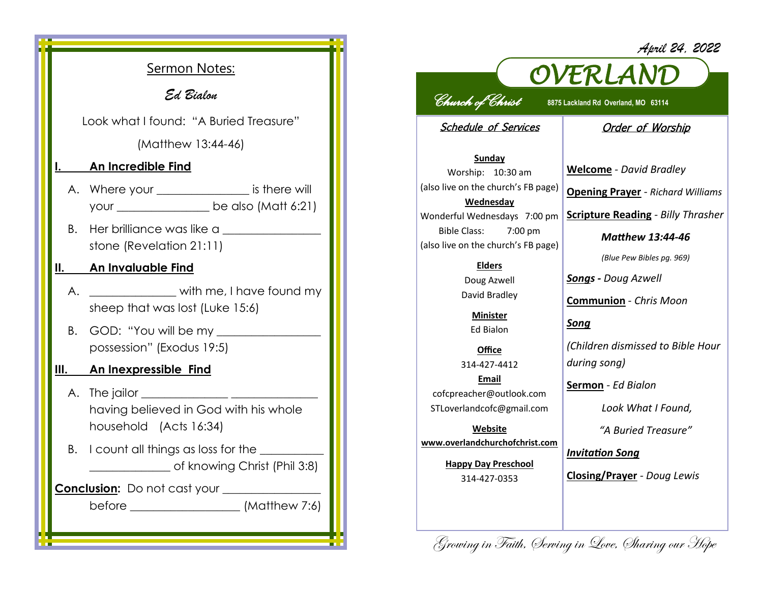|                                        | <b>Sermon Notes:</b>                                                                                 |
|----------------------------------------|------------------------------------------------------------------------------------------------------|
| Ed Bialon                              |                                                                                                      |
| Look what I found: "A Buried Treasure" |                                                                                                      |
| (Matthew 13:44-46)                     |                                                                                                      |
| I., 1989.                              | <u>An Incredible Find</u>                                                                            |
|                                        | A. Where your __________________ is there will<br>your _____________________ be also (Matt 6:21)     |
|                                        | stone (Revelation 21:11)                                                                             |
|                                        | II. An Invaluable Find                                                                               |
| А.                                     | with me, I have found my<br>sheep that was lost (Luke 15:6)                                          |
| В.                                     | GOD: "You will be my ___________<br>possession" (Exodus 19:5)                                        |
|                                        | III. An Inexpressible Find                                                                           |
|                                        | A. The jailor ___________________<br>having believed in God with his whole<br>household (Acts 16:34) |
| В.                                     | I count all things as loss for the __________<br>of knowing Christ (Phil 3:8)                        |
|                                        | Conclusion: Do not cast your ___________                                                             |
|                                        |                                                                                                      |

## *April 24, 2022*



*Church of Christ* **8875 Lackland Rd Overland, MO 63114** 

Schedule of Services

## Order of Worship

**Sunday** Worship: 10:30 am (also live on the church's FB page) **Wednesday** Wonderful Wednesdays 7:00 pm Bible Class: 7:00 pm (also live on the church's FB page)

**Elders**

Doug Azwell David Bradley

**Minister** Ed Bialon

**Office** 314-427-4412 **Email** cofcpreacher@outlook.com STLoverlandcofc@gmail.com

**Website www.overlandchurchofchrist.com**

> **Happy Day Preschool** 314-427-0353

**Welcome** *- David Bradley*

**Opening Prayer** *- Richard Williams*

**Scripture Reading** *- Billy Thrasher* 

*Matthew 13:44-46*

*(Blue Pew Bibles pg. 969)*

*Songs - Doug Azwell*

**Communion** *- Chris Moon*

*Song*

*(Children dismissed to Bible Hour during song)*

**Sermon** *- Ed Bialon*

*Look What I Found,* 

*"A Buried Treasure"*

*Invitation Song*

**Closing/Prayer** *- Doug Lewis*

Growing in Faith, Serving in Love, Sharing our Hope